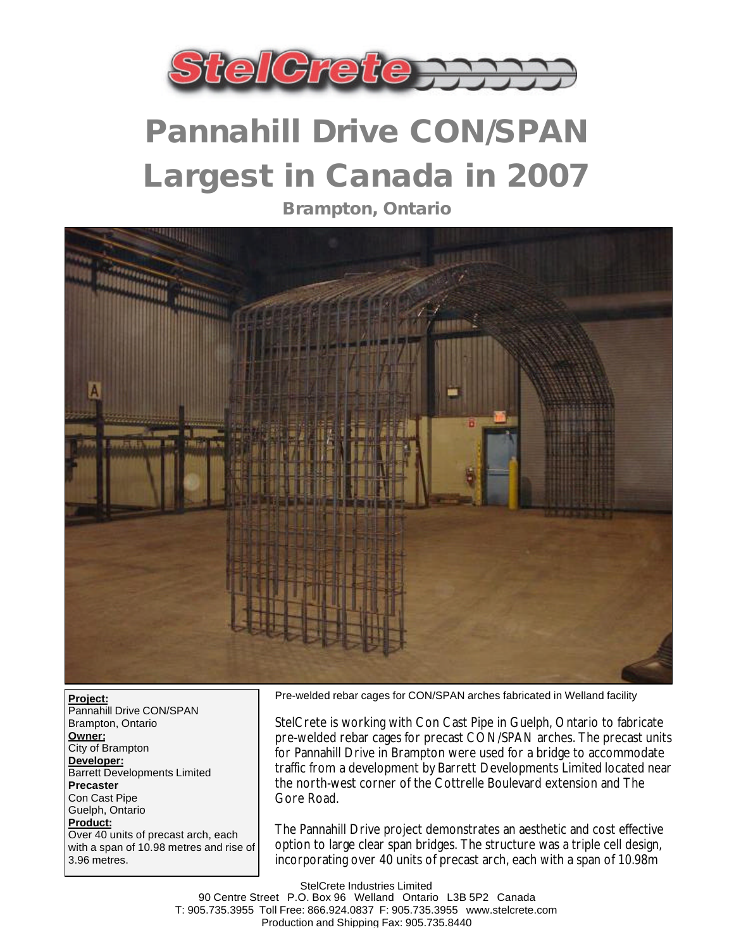

## **Pannahill Drive CON/SPAN Largest in Canada in 2007**

**Brampton, Ontario**



**Project:** Pannahill Drive CON/SPAN Brampton, Ontario **Owner:** City of Brampton **Developer:** Barrett Developments Limited **Precaster** Con Cast Pipe Guelph, Ontario **Product:** Over 40 units of precast arch, each with a span of 10.98 metres and rise of 3.96 metres.

Pre-welded rebar cages for CON/SPAN arches fabricated in Welland facility

StelCrete is working with Con Cast Pipe in Guelph, Ontario to fabricate pre-welded rebar cages for precast CON/SPAN arches. The precast units for Pannahill Drive in Brampton were used for a bridge to accommodate traffic from a development by Barrett Developments Limited located near the north-west corner of the Cottrelle Boulevard extension and The Gore Road.

The Pannahill Drive project demonstrates an aesthetic and cost effective option to large clear span bridges. The structure was a triple cell design, incorporating over 40 units of precast arch, each with a span of 10.98m

StelCrete Industries Limited 90 Centre Street P.O. Box 96 Welland Ontario L3B 5P2 Canada T: 905.735.3955 Toll Free: 866.924.0837 F: 905.735.3955 www.stelcrete.com Production and Shipping Fax: 905.735.8440